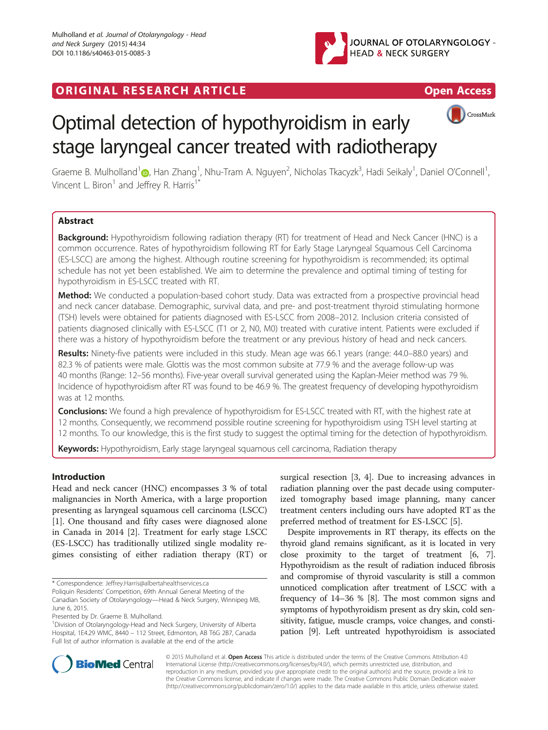

## **ORIGINAL RESEARCH ARTICLE CONSUMING ACCESS**





# Optimal detection of hypothyroidism in early stage laryngeal cancer treated with radiotherapy

Graeme B. Mulholland $^1$  $^1$ @, Han Zhang $^1$ , Nhu-Tram A. Nguyen $^2$ , Nicholas Tkacyzk $^3$ , Hadi Seikaly $^1$ , Daniel O'Connell $^1$ , Vincent L. Biron<sup>1</sup> and Jeffrey R. Harris<sup>1</sup>

### Abstract

Background: Hypothyroidism following radiation therapy (RT) for treatment of Head and Neck Cancer (HNC) is a common occurrence. Rates of hypothyroidism following RT for Early Stage Laryngeal Squamous Cell Carcinoma (ES-LSCC) are among the highest. Although routine screening for hypothyroidism is recommended; its optimal schedule has not yet been established. We aim to determine the prevalence and optimal timing of testing for hypothyroidism in ES-LSCC treated with RT.

Method: We conducted a population-based cohort study. Data was extracted from a prospective provincial head and neck cancer database. Demographic, survival data, and pre- and post-treatment thyroid stimulating hormone (TSH) levels were obtained for patients diagnosed with ES-LSCC from 2008–2012. Inclusion criteria consisted of patients diagnosed clinically with ES-LSCC (T1 or 2, N0, M0) treated with curative intent. Patients were excluded if there was a history of hypothyroidism before the treatment or any previous history of head and neck cancers.

Results: Ninety-five patients were included in this study. Mean age was 66.1 years (range: 44.0-88.0 years) and 82.3 % of patients were male. Glottis was the most common subsite at 77.9 % and the average follow-up was 40 months (Range: 12–56 months). Five-year overall survival generated using the Kaplan-Meier method was 79 %. Incidence of hypothyroidism after RT was found to be 46.9 %. The greatest frequency of developing hypothyroidism was at 12 months.

**Conclusions:** We found a high prevalence of hypothyroidism for ES-LSCC treated with RT, with the highest rate at 12 months. Consequently, we recommend possible routine screening for hypothyroidism using TSH level starting at 12 months. To our knowledge, this is the first study to suggest the optimal timing for the detection of hypothyroidism.

Keywords: Hypothyroidism, Early stage laryngeal squamous cell carcinoma, Radiation therapy

#### Introduction

Head and neck cancer (HNC) encompasses 3 % of total malignancies in North America, with a large proportion presenting as laryngeal squamous cell carcinoma (LSCC) [[1\]](#page-5-0). One thousand and fifty cases were diagnosed alone in Canada in 2014 [[2\]](#page-5-0). Treatment for early stage LSCC (ES-LSCC) has traditionally utilized single modality regimes consisting of either radiation therapy (RT) or

Presented by Dr. Graeme B. Mulholland.

surgical resection [[3, 4\]](#page-5-0). Due to increasing advances in radiation planning over the past decade using computerized tomography based image planning, many cancer treatment centers including ours have adopted RT as the preferred method of treatment for ES-LSCC [[5](#page-5-0)].

Despite improvements in RT therapy, its effects on the thyroid gland remains significant, as it is located in very close proximity to the target of treatment [[6](#page-5-0), [7](#page-5-0)]. Hypothyroidism as the result of radiation induced fibrosis and compromise of thyroid vascularity is still a common unnoticed complication after treatment of LSCC with a frequency of 14–36 % [[8](#page-6-0)]. The most common signs and symptoms of hypothyroidism present as dry skin, cold sensitivity, fatigue, muscle cramps, voice changes, and constipation [[9](#page-6-0)]. Left untreated hypothyroidism is associated



© 2015 Mulholland et al. Open Access This article is distributed under the terms of the Creative Commons Attribution 4.0 International License [\(http://creativecommons.org/licenses/by/4.0/](http://creativecommons.org/licenses/by/4.0/)), which permits unrestricted use, distribution, and reproduction in any medium, provided you give appropriate credit to the original author(s) and the source, provide a link to the Creative Commons license, and indicate if changes were made. The Creative Commons Public Domain Dedication waiver [\(http://creativecommons.org/publicdomain/zero/1.0/](http://creativecommons.org/publicdomain/zero/1.0/)) applies to the data made available in this article, unless otherwise stated.

<sup>\*</sup> Correspondence: [Jeffrey.Harris@albertahealthservices.ca](mailto:Jeffrey.Harris@albertahealthservices.ca)

Poliquin Residents' Competition, 69th Annual General Meeting of the Canadian Society of Otolaryngology—Head & Neck Surgery, Winnipeg MB, June 6, 2015.

<sup>&</sup>lt;sup>1</sup> Division of Otolaryngology-Head and Neck Surgery, University of Alberta Hospital, 1E4.29 WMC, 8440 – 112 Street, Edmonton, AB T6G 2B7, Canada Full list of author information is available at the end of the article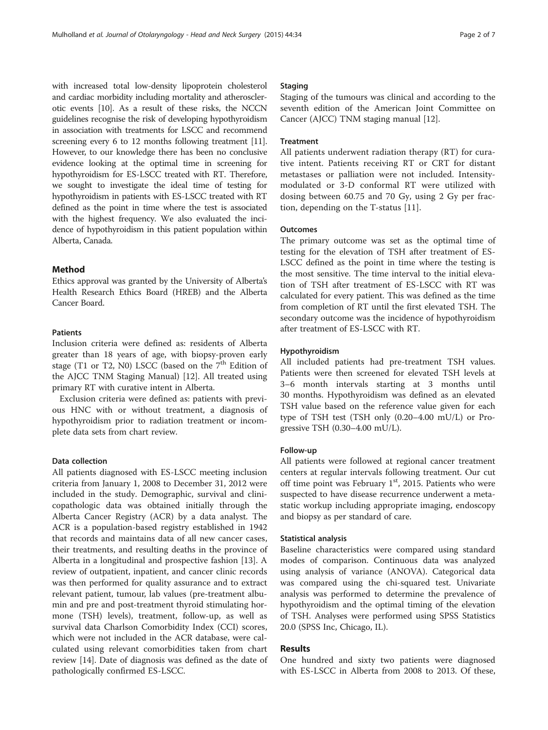with increased total low-density lipoprotein cholesterol and cardiac morbidity including mortality and atherosclerotic events [[10](#page-6-0)]. As a result of these risks, the NCCN guidelines recognise the risk of developing hypothyroidism in association with treatments for LSCC and recommend screening every 6 to 12 months following treatment [[11](#page-6-0)]. However, to our knowledge there has been no conclusive evidence looking at the optimal time in screening for hypothyroidism for ES-LSCC treated with RT. Therefore, we sought to investigate the ideal time of testing for hypothyroidism in patients with ES-LSCC treated with RT defined as the point in time where the test is associated with the highest frequency. We also evaluated the incidence of hypothyroidism in this patient population within Alberta, Canada.

#### Method

Ethics approval was granted by the University of Alberta's Health Research Ethics Board (HREB) and the Alberta Cancer Board.

#### Patients

Inclusion criteria were defined as: residents of Alberta greater than 18 years of age, with biopsy-proven early stage (T1 or T2, N0) LSCC (based on the  $7<sup>th</sup>$  Edition of the AJCC TNM Staging Manual) [\[12\]](#page-6-0). All treated using primary RT with curative intent in Alberta.

Exclusion criteria were defined as: patients with previous HNC with or without treatment, a diagnosis of hypothyroidism prior to radiation treatment or incomplete data sets from chart review.

#### Data collection

All patients diagnosed with ES-LSCC meeting inclusion criteria from January 1, 2008 to December 31, 2012 were included in the study. Demographic, survival and clinicopathologic data was obtained initially through the Alberta Cancer Registry (ACR) by a data analyst. The ACR is a population-based registry established in 1942 that records and maintains data of all new cancer cases, their treatments, and resulting deaths in the province of Alberta in a longitudinal and prospective fashion [\[13\]](#page-6-0). A review of outpatient, inpatient, and cancer clinic records was then performed for quality assurance and to extract relevant patient, tumour, lab values (pre-treatment albumin and pre and post-treatment thyroid stimulating hormone (TSH) levels), treatment, follow-up, as well as survival data Charlson Comorbidity Index (CCI) scores, which were not included in the ACR database, were calculated using relevant comorbidities taken from chart review [[14](#page-6-0)]. Date of diagnosis was defined as the date of pathologically confirmed ES-LSCC.

#### Staging

Staging of the tumours was clinical and according to the seventh edition of the American Joint Committee on Cancer (AJCC) TNM staging manual [\[12](#page-6-0)].

#### **Treatment**

All patients underwent radiation therapy (RT) for curative intent. Patients receiving RT or CRT for distant metastases or palliation were not included. Intensitymodulated or 3-D conformal RT were utilized with dosing between 60.75 and 70 Gy, using 2 Gy per fraction, depending on the T-status [\[11\]](#page-6-0).

#### **Outcomes**

The primary outcome was set as the optimal time of testing for the elevation of TSH after treatment of ES-LSCC defined as the point in time where the testing is the most sensitive. The time interval to the initial elevation of TSH after treatment of ES-LSCC with RT was calculated for every patient. This was defined as the time from completion of RT until the first elevated TSH. The secondary outcome was the incidence of hypothyroidism after treatment of ES-LSCC with RT.

#### Hypothyroidism

All included patients had pre-treatment TSH values. Patients were then screened for elevated TSH levels at 3–6 month intervals starting at 3 months until 30 months. Hypothyroidism was defined as an elevated TSH value based on the reference value given for each type of TSH test (TSH only (0.20–4.00 mU/L) or Progressive TSH (0.30–4.00 mU/L).

#### Follow-up

All patients were followed at regional cancer treatment centers at regular intervals following treatment. Our cut off time point was February  $1<sup>st</sup>$ , 2015. Patients who were suspected to have disease recurrence underwent a metastatic workup including appropriate imaging, endoscopy and biopsy as per standard of care.

#### Statistical analysis

Baseline characteristics were compared using standard modes of comparison. Continuous data was analyzed using analysis of variance (ANOVA). Categorical data was compared using the chi-squared test. Univariate analysis was performed to determine the prevalence of hypothyroidism and the optimal timing of the elevation of TSH. Analyses were performed using SPSS Statistics 20.0 (SPSS Inc, Chicago, IL).

#### Results

One hundred and sixty two patients were diagnosed with ES-LSCC in Alberta from 2008 to 2013. Of these,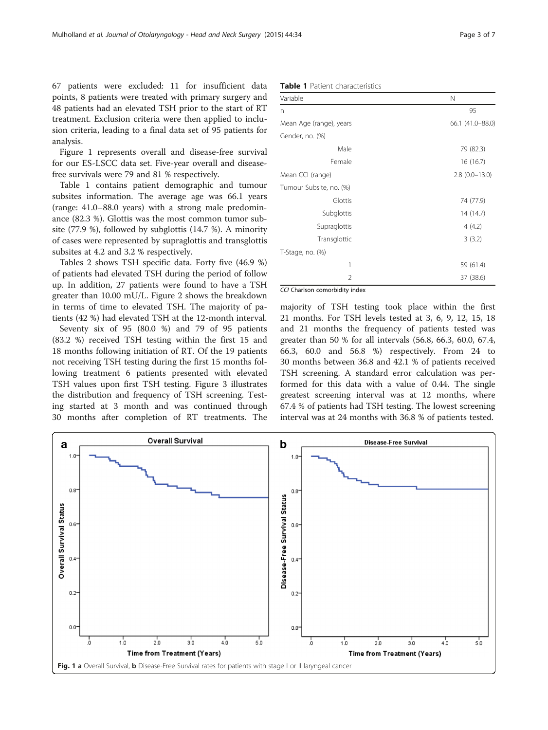67 patients were excluded: 11 for insufficient data points, 8 patients were treated with primary surgery and 48 patients had an elevated TSH prior to the start of RT treatment. Exclusion criteria were then applied to inclusion criteria, leading to a final data set of 95 patients for analysis.

Figure 1 represents overall and disease-free survival for our ES-LSCC data set. Five-year overall and diseasefree survivals were 79 and 81 % respectively.

Table 1 contains patient demographic and tumour subsites information. The average age was 66.1 years (range: 41.0–88.0 years) with a strong male predominance (82.3 %). Glottis was the most common tumor subsite (77.9 %), followed by subglottis (14.7 %). A minority of cases were represented by supraglottis and transglottis subsites at 4.2 and 3.2 % respectively.

Tables [2](#page-3-0) shows TSH specific data. Forty five (46.9 %) of patients had elevated TSH during the period of follow up. In addition, 27 patients were found to have a TSH greater than 10.00 mU/L. Figure [2](#page-3-0) shows the breakdown in terms of time to elevated TSH. The majority of patients (42 %) had elevated TSH at the 12-month interval.

Seventy six of 95 (80.0 %) and 79 of 95 patients (83.2 %) received TSH testing within the first 15 and 18 months following initiation of RT. Of the 19 patients not receiving TSH testing during the first 15 months following treatment 6 patients presented with elevated TSH values upon first TSH testing. Figure [3](#page-4-0) illustrates the distribution and frequency of TSH screening. Testing started at 3 month and was continued through 30 months after completion of RT treatments. The

| <b>Table 1</b> Patient characteristics |  |
|----------------------------------------|--|
|----------------------------------------|--|

| Variable                | N                |
|-------------------------|------------------|
| n                       | 95               |
| Mean Age (range), years | 66.1 (41.0-88.0) |
| Gender, no. (%)         |                  |
| Male                    | 79 (82.3)        |
| Female                  | 16 (16.7)        |
| Mean CCI (range)        | $2.8(0.0-13.0)$  |
| Tumour Subsite, no. (%) |                  |
| Glottis                 | 74 (77.9)        |
| Subglottis              | 14 (14.7)        |
| Supraglottis            | 4(4.2)           |
| Transglottic            | 3(3.2)           |
| T-Stage, no. (%)        |                  |
| 1                       | 59 (61.4)        |
| 2                       | 37 (38.6)        |

CCI Charlson comorbidity index

majority of TSH testing took place within the first 21 months. For TSH levels tested at 3, 6, 9, 12, 15, 18 and 21 months the frequency of patients tested was greater than 50 % for all intervals (56.8, 66.3, 60.0, 67.4, 66.3, 60.0 and 56.8 %) respectively. From 24 to 30 months between 36.8 and 42.1 % of patients received TSH screening. A standard error calculation was performed for this data with a value of 0.44. The single greatest screening interval was at 12 months, where 67.4 % of patients had TSH testing. The lowest screening interval was at 24 months with 36.8 % of patients tested.

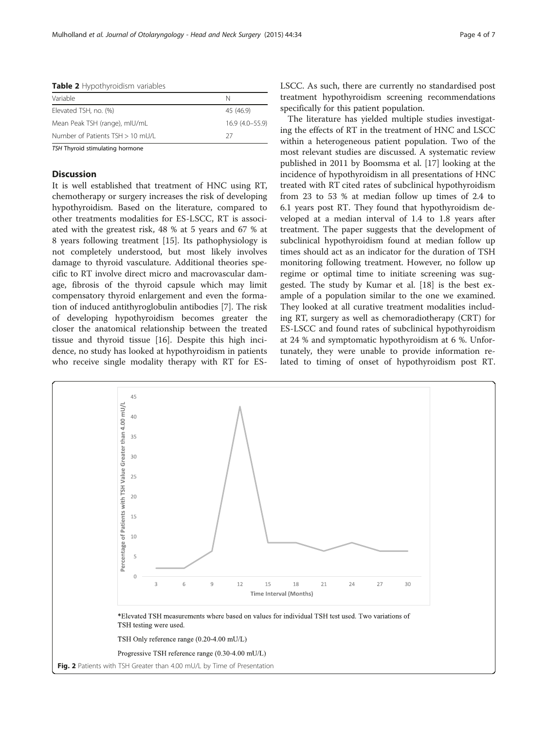<span id="page-3-0"></span>

| <b>Table 2</b> Hypothyroidism variables |                    |  |
|-----------------------------------------|--------------------|--|
| Variable                                | N                  |  |
| Elevated TSH, no. (%)                   | 45 (46.9)          |  |
| Mean Peak TSH (range), mIU/mL           | $16.9(4.0 - 55.9)$ |  |
| Number of Patients TSH > 10 mU/L        | 27                 |  |
|                                         |                    |  |

TSH Thyroid stimulating hormone

#### **Discussion**

It is well established that treatment of HNC using RT, chemotherapy or surgery increases the risk of developing hypothyroidism. Based on the literature, compared to other treatments modalities for ES-LSCC, RT is associated with the greatest risk, 48 % at 5 years and 67 % at 8 years following treatment [[15\]](#page-6-0). Its pathophysiology is not completely understood, but most likely involves damage to thyroid vasculature. Additional theories specific to RT involve direct micro and macrovascular damage, fibrosis of the thyroid capsule which may limit compensatory thyroid enlargement and even the formation of induced antithyroglobulin antibodies [\[7](#page-5-0)]. The risk of developing hypothyroidism becomes greater the closer the anatomical relationship between the treated tissue and thyroid tissue [[16\]](#page-6-0). Despite this high incidence, no study has looked at hypothyroidism in patients who receive single modality therapy with RT for ES-

LSCC. As such, there are currently no standardised post treatment hypothyroidism screening recommendations specifically for this patient population.

The literature has yielded multiple studies investigating the effects of RT in the treatment of HNC and LSCC within a heterogeneous patient population. Two of the most relevant studies are discussed. A systematic review published in 2011 by Boomsma et al. [[17\]](#page-6-0) looking at the incidence of hypothyroidism in all presentations of HNC treated with RT cited rates of subclinical hypothyroidism from 23 to 53 % at median follow up times of 2.4 to 6.1 years post RT. They found that hypothyroidism developed at a median interval of 1.4 to 1.8 years after treatment. The paper suggests that the development of subclinical hypothyroidism found at median follow up times should act as an indicator for the duration of TSH monitoring following treatment. However, no follow up regime or optimal time to initiate screening was suggested. The study by Kumar et al. [\[18](#page-6-0)] is the best example of a population similar to the one we examined. They looked at all curative treatment modalities including RT, surgery as well as chemoradiotherapy (CRT) for ES-LSCC and found rates of subclinical hypothyroidism at 24 % and symptomatic hypothyroidism at 6 %. Unfortunately, they were unable to provide information related to timing of onset of hypothyroidism post RT.

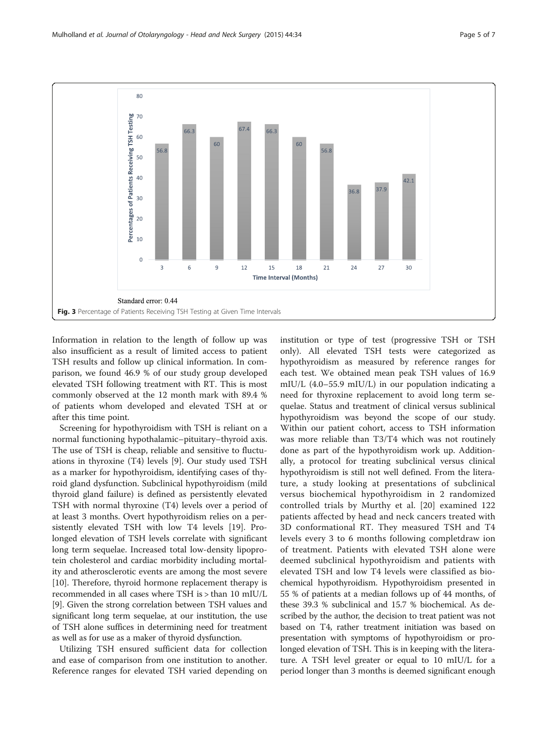<span id="page-4-0"></span>

Information in relation to the length of follow up was also insufficient as a result of limited access to patient TSH results and follow up clinical information. In comparison, we found 46.9 % of our study group developed elevated TSH following treatment with RT. This is most commonly observed at the 12 month mark with 89.4 % of patients whom developed and elevated TSH at or after this time point.

Screening for hypothyroidism with TSH is reliant on a normal functioning hypothalamic–pituitary–thyroid axis. The use of TSH is cheap, reliable and sensitive to fluctuations in thyroxine (T4) levels [\[9](#page-6-0)]. Our study used TSH as a marker for hypothyroidism, identifying cases of thyroid gland dysfunction. Subclinical hypothyroidism (mild thyroid gland failure) is defined as persistently elevated TSH with normal thyroxine (T4) levels over a period of at least 3 months. Overt hypothyroidism relies on a persistently elevated TSH with low T4 levels [[19\]](#page-6-0). Prolonged elevation of TSH levels correlate with significant long term sequelae. Increased total low-density lipoprotein cholesterol and cardiac morbidity including mortality and atherosclerotic events are among the most severe [[10\]](#page-6-0). Therefore, thyroid hormone replacement therapy is recommended in all cases where TSH is > than 10 mIU/L [[9\]](#page-6-0). Given the strong correlation between TSH values and significant long term sequelae, at our institution, the use of TSH alone suffices in determining need for treatment as well as for use as a maker of thyroid dysfunction.

Utilizing TSH ensured sufficient data for collection and ease of comparison from one institution to another. Reference ranges for elevated TSH varied depending on institution or type of test (progressive TSH or TSH only). All elevated TSH tests were categorized as hypothyroidism as measured by reference ranges for each test. We obtained mean peak TSH values of 16.9 mIU/L (4.0–55.9 mIU/L) in our population indicating a need for thyroxine replacement to avoid long term sequelae. Status and treatment of clinical versus sublinical hypothyroidism was beyond the scope of our study. Within our patient cohort, access to TSH information was more reliable than T3/T4 which was not routinely done as part of the hypothyroidism work up. Additionally, a protocol for treating subclinical versus clinical hypothyroidism is still not well defined. From the literature, a study looking at presentations of subclinical versus biochemical hypothyroidism in 2 randomized controlled trials by Murthy et al. [[20](#page-6-0)] examined 122 patients affected by head and neck cancers treated with 3D conformational RT. They measured TSH and T4 levels every 3 to 6 months following completdraw ion of treatment. Patients with elevated TSH alone were deemed subclinical hypothyroidism and patients with elevated TSH and low T4 levels were classified as biochemical hypothyroidism. Hypothyroidism presented in 55 % of patients at a median follows up of 44 months, of these 39.3 % subclinical and 15.7 % biochemical. As described by the author, the decision to treat patient was not based on T4, rather treatment initiation was based on presentation with symptoms of hypothyroidism or prolonged elevation of TSH. This is in keeping with the literature. A TSH level greater or equal to 10 mIU/L for a period longer than 3 months is deemed significant enough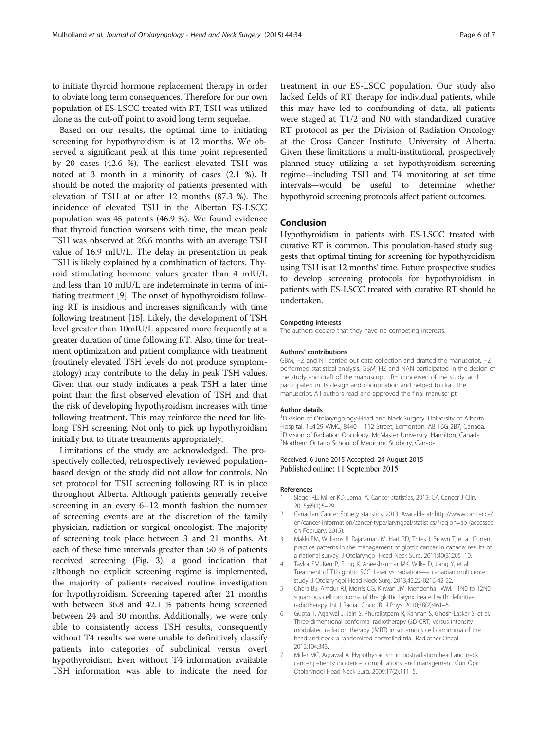<span id="page-5-0"></span>to initiate thyroid hormone replacement therapy in order to obviate long term consequences. Therefore for our own population of ES-LSCC treated with RT, TSH was utilized alone as the cut-off point to avoid long term sequelae.

Based on our results, the optimal time to initiating screening for hypothyroidism is at 12 months. We observed a significant peak at this time point represented by 20 cases (42.6 %). The earliest elevated TSH was noted at 3 month in a minority of cases (2.1 %). It should be noted the majority of patients presented with elevation of TSH at or after 12 months (87.3 %). The incidence of elevated TSH in the Albertan ES-LSCC population was 45 patents (46.9 %). We found evidence that thyroid function worsens with time, the mean peak TSH was observed at 26.6 months with an average TSH value of 16.9 mIU/L. The delay in presentation in peak TSH is likely explained by a combination of factors. Thyroid stimulating hormone values greater than 4 mIU/L and less than 10 mIU/L are indeterminate in terms of initiating treatment [\[9\]](#page-6-0). The onset of hypothyroidism following RT is insidious and increases significantly with time following treatment [\[15](#page-6-0)]. Likely, the development of TSH level greater than 10mIU/L appeared more frequently at a greater duration of time following RT. Also, time for treatment optimization and patient compliance with treatment (routinely elevated TSH levels do not produce symptomatology) may contribute to the delay in peak TSH values. Given that our study indicates a peak TSH a later time point than the first observed elevation of TSH and that the risk of developing hypothyroidism increases with time following treatment. This may reinforce the need for lifelong TSH screening. Not only to pick up hypothyroidism initially but to titrate treatments appropriately.

Limitations of the study are acknowledged. The prospectively collected, retrospectively reviewed populationbased design of the study did not allow for controls. No set protocol for TSH screening following RT is in place throughout Alberta. Although patients generally receive screening in an every 6–12 month fashion the number of screening events are at the discretion of the family physician, radiation or surgical oncologist. The majority of screening took place between 3 and 21 months. At each of these time intervals greater than 50 % of patients received screening (Fig. [3](#page-4-0)), a good indication that although no explicit screening regime is implemented, the majority of patients received routine investigation for hypothyroidism. Screening tapered after 21 months with between 36.8 and 42.1 % patients being screened between 24 and 30 months. Additionally, we were only able to consistently access TSH results, consequently without T4 results we were unable to definitively classify patients into categories of subclinical versus overt hypothyroidism. Even without T4 information available TSH information was able to indicate the need for

treatment in our ES-LSCC population. Our study also lacked fields of RT therapy for individual patients, while this may have led to confounding of data, all patients were staged at T1/2 and N0 with standardized curative RT protocol as per the Division of Radiation Oncology at the Cross Cancer Institute, University of Alberta. Given these limitations a multi-institutional, prospectively planned study utilizing a set hypothyroidism screening regime—including TSH and T4 monitoring at set time intervals—would be useful to determine whether hypothyroid screening protocols affect patient outcomes.

#### Conclusion

Hypothyroidism in patients with ES-LSCC treated with curative RT is common. This population-based study suggests that optimal timing for screening for hypothyroidism using TSH is at 12 months' time. Future prospective studies to develop screening protocols for hypothyroidism in patients with ES-LSCC treated with curative RT should be undertaken.

#### Competing interests

The authors declare that they have no competing interests.

#### Authors' contributions

GBM, HZ and NT carried out data collection and drafted the manuscript. HZ performed statistical analysis. GBM, HZ and NAN participated in the design of the study and draft of the manuscript. JRH conceived of the study, and participated in its design and coordination and helped to draft the manuscript. All authors read and approved the final manuscript.

#### Author details

<sup>1</sup> Division of Otolaryngology-Head and Neck Surgery, University of Alberta Hospital, 1E4.29 WMC, 8440 – 112 Street, Edmonton, AB T6G 2B7, Canada. <sup>2</sup> <sup>2</sup> Division of Radiation Oncology, McMaster University, Hamilton, Canada. 3 Northern Ontario School of Medicine, Sudbury, Canada.

#### Received: 6 June 2015 Accepted: 24 August 2015 Published online: 11 September 2015

#### References

- 1. Siegel RL, Miller KD, Jemal A. Cancer statistics, 2015. CA Cancer J Clin. 2015;65(1):5–29.
- 2. Canadian Cancer Society statistics. 2013. Available at: [http://www.cancer.ca/](http://www.cancer.ca/en/cancer-information/cancer-type/laryngeal/statistics/?region=ab) [en/cancer-information/cancer-type/laryngeal/statistics/?region=ab](http://www.cancer.ca/en/cancer-information/cancer-type/laryngeal/statistics/?region=ab) (accessed on February, 2015).
- 3. Makki FM, Williams B, Rajaraman M, Hart RD, Trites J, Brown T, et al. Current practice patterns in the management of glottic cancer in canada: results of a national survey. J Otolaryngol Head Neck Surg. 2011;40(3):205–10.
- 4. Taylor SM, Kerr P, Fung K, Aneeshkumar MK, Wilke D, Jiang Y, et al. Treatment of T1b glottic SCC: Laser vs. radiation—a canadian multicenter study. J Otolaryngol Head Neck Surg. 2013;42:22-0216-42-22.
- 5. Chera BS, Amdur RJ, Morris CG, Kirwan JM, Mendenhall WM. T1N0 to T2N0 squamous cell carcinoma of the glottic larynx treated with definitive radiotherapy. Int J Radiat Oncol Biol Phys. 2010;78(2):461–6.
- 6. Gupta T, Agarwal J, Jain S, Phurailatpam R, Kannan S, Ghosh-Laskar S, et al. Three-dimensional conformal radiotherapy (3D-CRT) versus intensity modulated radiation therapy (IMRT) in squamous cell carcinoma of the head and neck: a randomized controlled trial. Radiother Oncol. 2012;104:343.
- 7. Miller MC, Agrawal A. Hypothyroidism in postradiation head and neck cancer patients: incidence, complications, and management. Curr Opin Otolaryngol Head Neck Surg. 2009;17(2):111–5.